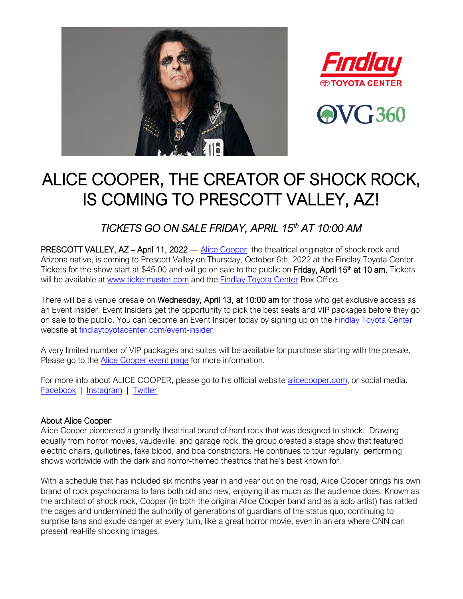





# ALICE COOPER, THE CREATOR OF SHOCK ROCK, IS COMING TO PRESCOTT VALLEY, AZ!

*TICKETS GO ON SALE FRIDAY, APRIL 15th AT 10:00 AM* 

PRESCOTT VALLEY, AZ - April 11, 2022 - [Alice Cooper,](https://alicecooper.com/) the theatrical originator of shock rock and Arizona native, is coming to Prescott Valley on Thursday, October 6th, 2022 at the Findlay Toyota Center. Tickets for the show start at \$45.00 and will go on sale to the public on Friday, April 15<sup>th</sup> at 10 am. Tickets will be available at [www.ticketmaster.com](https://www.ticketmaster.com/event/19005C87D5002AF0) and the [Findlay Toyota Center](http://www.findlaytoyotacenter.com/) Box Office.

There will be a venue presale on Wednesday, April 13, at 10:00 am for those who get exclusive access as an Event Insider. Event Insiders get the opportunity to pick the best seats and VIP packages before they go on sale to the public. You can become an Event Insider today by signing up on the **Findlay Toyota Center** website at [findlaytoyotacenter.com/event-insider.](http://www.findlaytoyotacenter.com/event-insider)

A very limited number of VIP packages and suites will be available for purchase starting with the presale. Please go to the [Alice Cooper](http://www.findlaytoyotacenter.com/events/an-evening-with-alice-cooper) event page for more information.

For more info about ALICE COOPER, please go to his official website [alicecooper.com,](https://alicecooper.com/) or social media. [Facebook](https://www.facebook.com/AliceCooper/) | [Instagram](https://www.instagram.com/alicecooper/) | [Twitter](https://twitter.com/AliceCooper)

## About Alice Cooper:

Alice Cooper pioneered a grandly theatrical brand of hard rock that was designed to shock. Drawing equally from horror movies, vaudeville, and garage rock, the group created a stage show that featured electric chairs, guillotines, fake blood, and boa constrictors. He continues to tour regularly, performing shows worldwide with the dark and horror-themed theatrics that he's best known for.

With a schedule that has included six months year in and year out on the road, Alice Cooper brings his own brand of rock psychodrama to fans both old and new, enjoying it as much as the audience does. Known as the architect of shock rock, Cooper (in both the original Alice Cooper band and as a solo artist) has rattled the cages and undermined the authority of generations of guardians of the status quo, continuing to surprise fans and exude danger at every turn, like a great horror movie, even in an era where CNN can present real-life shocking images.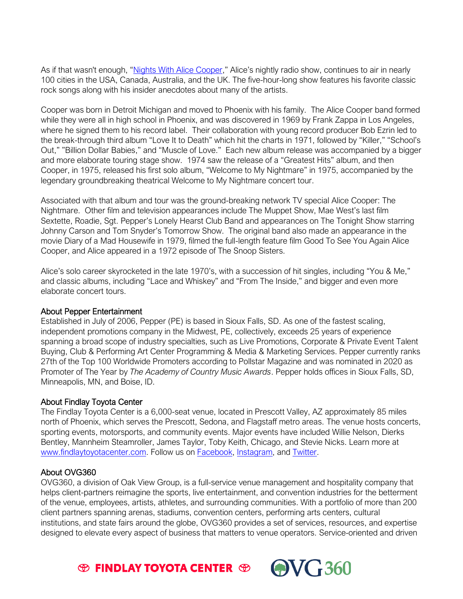As if that wasn't enough, "[Nights With Alice Cooper](http://www.nightswithalicecooper.com/)," Alice's nightly radio show, continues to air in nearly 100 cities in the USA, Canada, Australia, and the UK. The five-hour-long show features his favorite classic rock songs along with his insider anecdotes about many of the artists.

Cooper was born in Detroit Michigan and moved to Phoenix with his family. The Alice Cooper band formed while they were all in high school in Phoenix, and was discovered in 1969 by Frank Zappa in Los Angeles, where he signed them to his record label. Their collaboration with young record producer Bob Ezrin led to the break-through third album "Love It to Death" which hit the charts in 1971, followed by "Killer," "School's Out," "Billion Dollar Babies," and "Muscle of Love." Each new album release was accompanied by a bigger and more elaborate touring stage show. 1974 saw the release of a "Greatest Hits" album, and then Cooper, in 1975, released his first solo album, "Welcome to My Nightmare" in 1975, accompanied by the legendary groundbreaking theatrical Welcome to My Nightmare concert tour.

Associated with that album and tour was the ground-breaking network TV special Alice Cooper: The Nightmare. Other film and television appearances include The Muppet Show, Mae West's last film Sextette, Roadie, Sgt. Pepper's Lonely Hearst Club Band and appearances on The Tonight Show starring Johnny Carson and Tom Snyder's Tomorrow Show. The original band also made an appearance in the movie Diary of a Mad Housewife in 1979, filmed the full-length feature film Good To See You Again Alice Cooper, and Alice appeared in a 1972 episode of The Snoop Sisters.

Alice's solo career skyrocketed in the late 1970's, with a succession of hit singles, including "You & Me," and classic albums, including "Lace and Whiskey" and "From The Inside," and bigger and even more elaborate concert tours.

## About Pepper Entertainment

Established in July of 2006, Pepper (PE) is based in Sioux Falls, SD. As one of the fastest scaling, independent promotions company in the Midwest, PE, collectively, exceeds 25 years of experience spanning a broad scope of industry specialties, such as Live Promotions, Corporate & Private Event Talent Buying, Club & Performing Art Center Programming & Media & Marketing Services. Pepper currently ranks 27th of the Top 100 Worldwide Promoters according to Pollstar Magazine and was nominated in 2020 as Promoter of The Year by *The Academy of Country Music Awards*. Pepper holds offices in Sioux Falls, SD, Minneapolis, MN, and Boise, ID.

## About Findlay Toyota Center

The Findlay Toyota Center is a 6,000-seat venue, located in Prescott Valley, AZ approximately 85 miles north of Phoenix, which serves the Prescott, Sedona, and Flagstaff metro areas. The venue hosts concerts, sporting events, motorsports, and community events. Major events have included Willie Nelson, Dierks Bentley, Mannheim Steamroller, James Taylor, Toby Keith, Chicago, and Stevie Nicks. Learn more at [www.findlaytoyotacenter.com.](http://www.findlaytoyotacenter.com/) Follow us on [Facebook,](https://www.facebook.com/FindlayToyotaCenter/) [Instagram,](https://www.instagram.com/findlaytoyotacenter/) and [Twitter.](https://twitter.com/FindlayCenter)

## About OVG360

OVG360, a division of Oak View Group, is a full-service venue management and hospitality company that helps client-partners reimagine the sports, live entertainment, and convention industries for the betterment of the venue, employees, artists, athletes, and surrounding communities. With a portfolio of more than 200 client partners spanning arenas, stadiums, convention centers, performing arts centers, cultural institutions, and state fairs around the globe, OVG360 provides a set of services, resources, and expertise designed to elevate every aspect of business that matters to venue operators. Service-oriented and driven